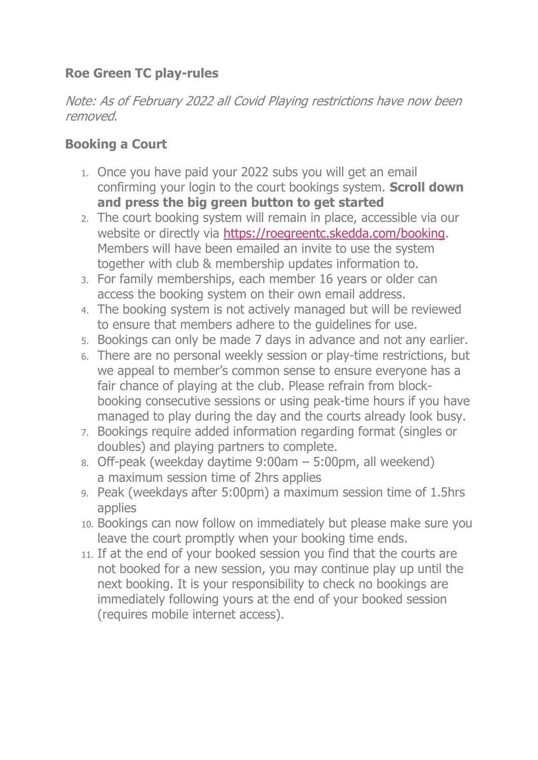## **Roe Green TC play-rules**

Note: As of February 2022 all Covid Playing restrictions have now been removed.

#### **Booking a Court**

- 1. Once you have paid your 2022 subs you will get an email confirming your login to the court bookings system. **Scroll down and press the big green button to get started**
- 2. The court booking system will remain in place, accessible via our website or directly via [https://roegreentc.skedda.com/booking.](https://roegreentc.skedda.com/booking) Members will have been emailed an invite to use the system together with club & membership updates information to.
- 3. For family memberships, each member 16 years or older can access the booking system on their own email address.
- 4. The booking system is not actively managed but will be reviewed to ensure that members adhere to the guidelines for use.
- 5. Bookings can only be made 7 days in advance and not any earlier.
- 6. There are no personal weekly session or play-time restrictions, but we appeal to member's common sense to ensure everyone has a fair chance of playing at the club. Please refrain from blockbooking consecutive sessions or using peak-time hours if you have managed to play during the day and the courts already look busy.
- 7. Bookings require added information regarding format (singles or doubles) and playing partners to complete.
- 8. Off-peak (weekday daytime 9:00am 5:00pm, all weekend) a maximum session time of 2hrs applies
- 9. Peak (weekdays after 5:00pm) a maximum session time of 1.5hrs applies
- 10. Bookings can now follow on immediately but please make sure you leave the court promptly when your booking time ends.
- 11. If at the end of your booked session you find that the courts are not booked for a new session, you may continue play up until the next booking. It is your responsibility to check no bookings are immediately following yours at the end of your booked session (requires mobile internet access).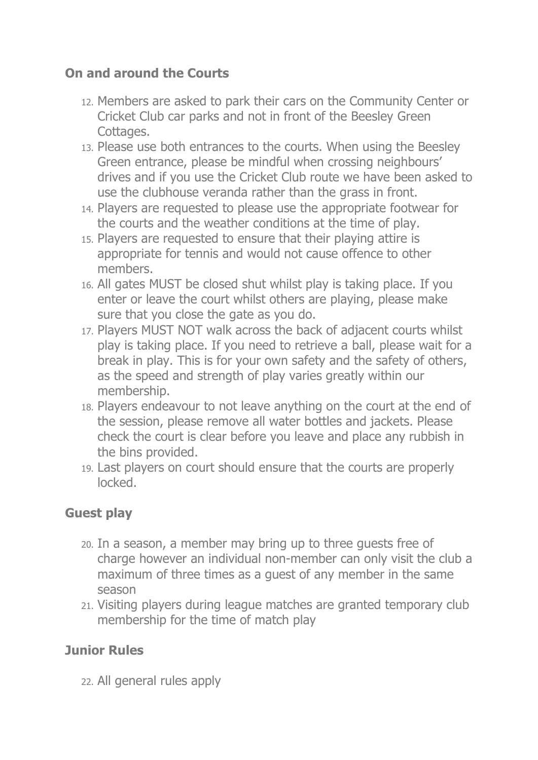### **On and around the Courts**

- 12. Members are asked to park their cars on the Community Center or Cricket Club car parks and not in front of the Beesley Green Cottages.
- 13. Please use both entrances to the courts. When using the Beesley Green entrance, please be mindful when crossing neighbours' drives and if you use the Cricket Club route we have been asked to use the clubhouse veranda rather than the grass in front.
- 14. Players are requested to please use the appropriate footwear for the courts and the weather conditions at the time of play.
- 15. Players are requested to ensure that their playing attire is appropriate for tennis and would not cause offence to other members.
- 16. All gates MUST be closed shut whilst play is taking place. If you enter or leave the court whilst others are playing, please make sure that you close the gate as you do.
- 17. Players MUST NOT walk across the back of adjacent courts whilst play is taking place. If you need to retrieve a ball, please wait for a break in play. This is for your own safety and the safety of others, as the speed and strength of play varies greatly within our membership.
- 18. Players endeavour to not leave anything on the court at the end of the session, please remove all water bottles and jackets. Please check the court is clear before you leave and place any rubbish in the bins provided.
- 19. Last players on court should ensure that the courts are properly locked.

#### **Guest play**

- 20. In a season, a member may bring up to three guests free of charge however an individual non-member can only visit the club a maximum of three times as a guest of any member in the same season
- 21. Visiting players during league matches are granted temporary club membership for the time of match play

## **Junior Rules**

22. All general rules apply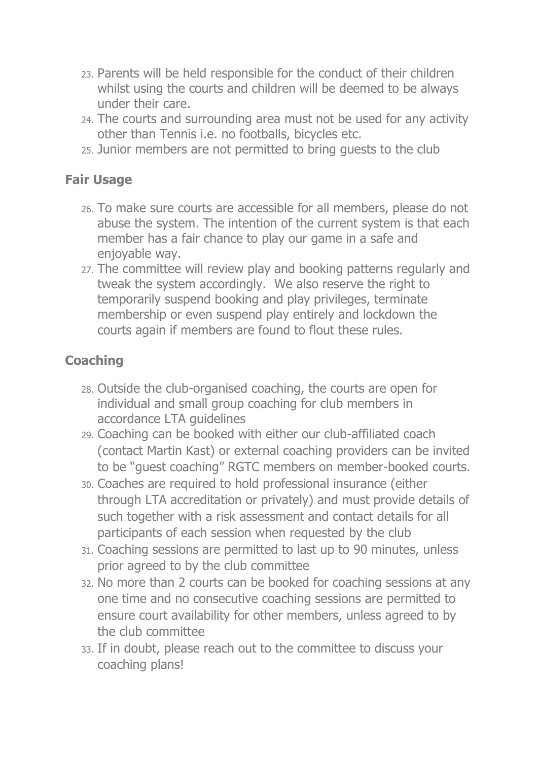- 23. Parents will be held responsible for the conduct of their children whilst using the courts and children will be deemed to be always under their care.
- 24. The courts and surrounding area must not be used for any activity other than Tennis i.e. no footballs, bicycles etc.
- 25. Junior members are not permitted to bring guests to the club

### **Fair Usage**

- 26. To make sure courts are accessible for all members, please do not abuse the system. The intention of the current system is that each member has a fair chance to play our game in a safe and enjoyable way.
- 27. The committee will review play and booking patterns regularly and tweak the system accordingly. We also reserve the right to temporarily suspend booking and play privileges, terminate membership or even suspend play entirely and lockdown the courts again if members are found to flout these rules.

# **Coaching**

- 28. Outside the club-organised coaching, the courts are open for individual and small group coaching for club members in accordance LTA guidelines
- 29. Coaching can be booked with either our club-affiliated coach (contact [Martin Kast\)](mailto:mart.kast@gmail.com?subject=RGTC%20tennis%20coaching) or external coaching providers can be invited to be "guest coaching" RGTC members on member-booked courts.
- 30. Coaches are required to hold professional insurance (either through LTA accreditation or privately) and must provide details of such together with a risk assessment and contact details for all participants of each session when requested by the club
- 31. Coaching sessions are permitted to last up to 90 minutes, unless prior agreed to by the club committee
- 32. No more than 2 courts can be booked for coaching sessions at any one time and no consecutive coaching sessions are permitted to ensure court availability for other members, unless agreed to by the club committee
- 33. If in doubt, please reach out to the committee to discuss your coaching plans!